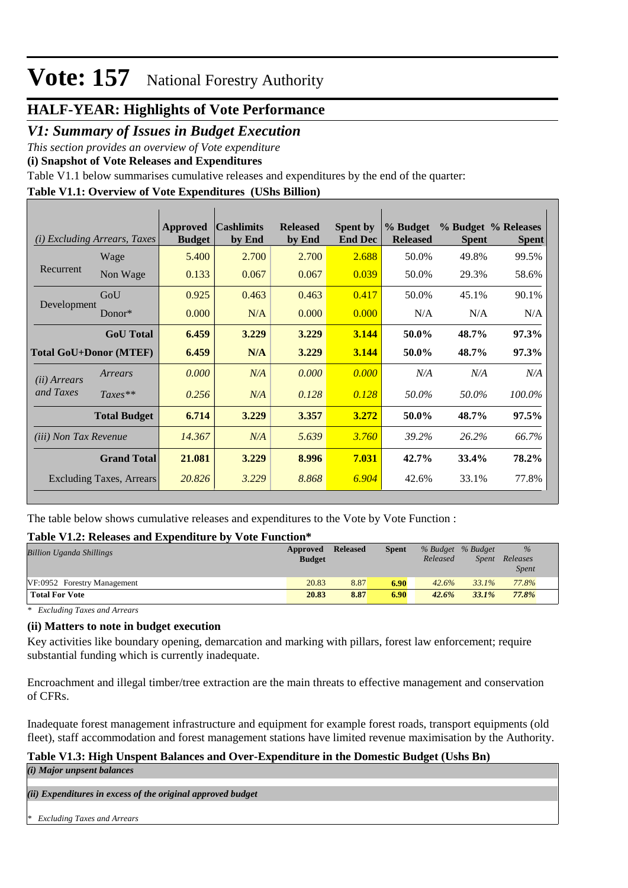### **HALF-YEAR: Highlights of Vote Performance**

### *V1: Summary of Issues in Budget Execution*

*This section provides an overview of Vote expenditure* 

**(i) Snapshot of Vote Releases and Expenditures**

Table V1.1 below summarises cumulative releases and expenditures by the end of the quarter:

### **Table V1.1: Overview of Vote Expenditures (UShs Billion)**

| <i>Excluding Arrears, Taxes</i><br>(i) |                     | Approved<br><b>Budget</b> | <b>Cashlimits</b><br>by End | <b>Released</b><br>by End | <b>Spent by</b><br><b>End Dec</b> | % Budget<br><b>Released</b> | <b>Spent</b> | % Budget % Releases<br><b>Spent</b> |
|----------------------------------------|---------------------|---------------------------|-----------------------------|---------------------------|-----------------------------------|-----------------------------|--------------|-------------------------------------|
|                                        | Wage                | 5.400                     | 2.700                       | 2.700                     | 2.688                             | 50.0%                       | 49.8%        | 99.5%                               |
| Recurrent                              | Non Wage            | 0.133                     | 0.067                       | 0.067                     | 0.039                             | 50.0%                       | 29.3%        | 58.6%                               |
|                                        | GoU                 | 0.925                     | 0.463                       | 0.463                     | 0.417                             | 50.0%                       | 45.1%        | 90.1%                               |
| Development                            | Donor*              | 0.000                     | N/A                         | 0.000                     | 0.000                             | N/A                         | N/A          | N/A                                 |
|                                        | <b>GoU</b> Total    | 6.459                     | 3.229                       | 3.229                     | 3.144                             | 50.0%                       | 48.7%        | 97.3%                               |
| <b>Total GoU+Donor (MTEF)</b>          |                     | 6.459                     | N/A                         | 3.229                     | 3.144                             | 50.0%                       | 48.7%        | 97.3%                               |
| ( <i>ii</i> ) Arrears                  | Arrears             | 0.000                     | N/A                         | 0.000                     | 0.000                             | N/A                         | N/A          | N/A                                 |
| and Taxes                              | $Taxes**$           | 0.256                     | N/A                         | 0.128                     | 0.128                             | 50.0%                       | 50.0%        | 100.0%                              |
|                                        | <b>Total Budget</b> | 6.714                     | 3.229                       | 3.357                     | 3.272                             | 50.0%                       | 48.7%        | 97.5%                               |
| <i>(iii)</i> Non Tax Revenue           |                     | 14.367                    | N/A                         | 5.639                     | 3.760                             | 39.2%                       | 26.2%        | 66.7%                               |
| <b>Grand Total</b>                     |                     | 21.081                    | 3.229                       | 8.996                     | 7.031                             | 42.7%                       | 33.4%        | 78.2%                               |
| <b>Excluding Taxes, Arrears</b>        |                     | 20.826                    | 3.229                       | 8.868                     | 6.904                             | 42.6%                       | 33.1%        | 77.8%                               |

The table below shows cumulative releases and expenditures to the Vote by Vote Function :

### **Table V1.2: Releases and Expenditure by Vote Function\***

| <b>Billion Uganda Shillings</b> | Approved<br><b>Budget</b> | <b>Released</b> | <b>Spent</b> | % Budget % Budget<br>Released | Spent | %<br>Releases<br><i>Spent</i> |  |
|---------------------------------|---------------------------|-----------------|--------------|-------------------------------|-------|-------------------------------|--|
| VF:0952 Forestry Management     | 20.83                     | 8.87            | 6.90         | 42.6%                         | 33.1% | 77.8%                         |  |
| <b>Total For Vote</b>           | 20.83                     | 8.87            | 6.90         | 42.6%                         | 33.1% | 77.8%                         |  |

*\* Excluding Taxes and Arrears*

### **(ii) Matters to note in budget execution**

Key activities like boundary opening, demarcation and marking with pillars, forest law enforcement; require substantial funding which is currently inadequate.

Encroachment and illegal timber/tree extraction are the main threats to effective management and conservation of CFRs.

Inadequate forest management infrastructure and equipment for example forest roads, transport equipments (old fleet), staff accommodation and forest management stations have limited revenue maximisation by the Authority.

### **Table V1.3: High Unspent Balances and Over-Expenditure in the Domestic Budget (Ushs Bn)**

*(i) Major unpsent balances*

*(ii) Expenditures in excess of the original approved budget*

*\* Excluding Taxes and Arrears*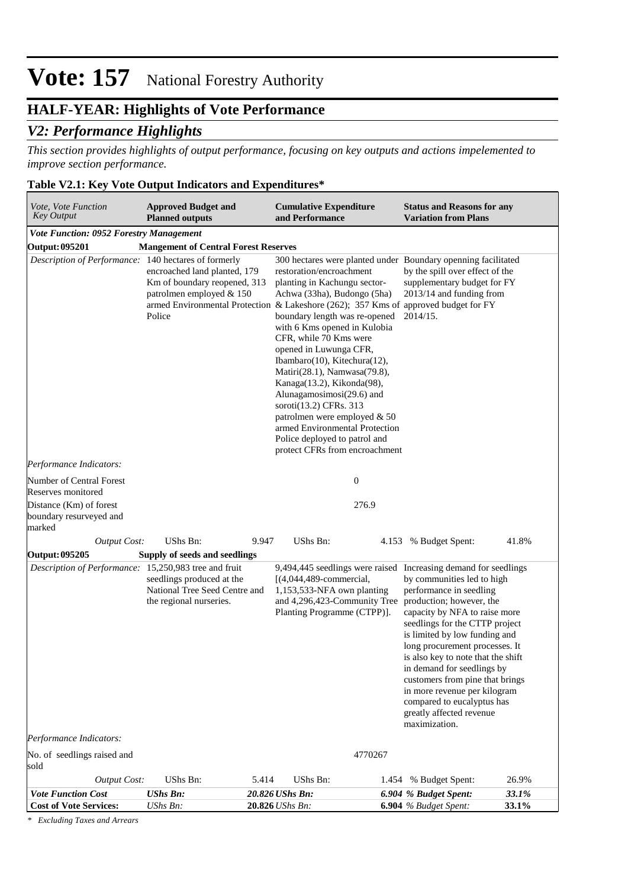## **HALF-YEAR: Highlights of Vote Performance**

### *V2: Performance Highlights*

*This section provides highlights of output performance, focusing on key outputs and actions impelemented to improve section performance.*

### **Table V2.1: Key Vote Output Indicators and Expenditures\***

| Vote, Vote Function<br><b>Key Output</b>                                                             | <b>Approved Budget and</b><br><b>Planned outputs</b>                                               | <b>Cumulative Expenditure</b><br>and Performance                                                                                                                                                                                                                                                                                                                                                                                                                                                                                                                                              |       | <b>Status and Reasons for any</b><br><b>Variation from Plans</b>                                                                                                                                                                                                                                                                                                                                                                                                                 |                |
|------------------------------------------------------------------------------------------------------|----------------------------------------------------------------------------------------------------|-----------------------------------------------------------------------------------------------------------------------------------------------------------------------------------------------------------------------------------------------------------------------------------------------------------------------------------------------------------------------------------------------------------------------------------------------------------------------------------------------------------------------------------------------------------------------------------------------|-------|----------------------------------------------------------------------------------------------------------------------------------------------------------------------------------------------------------------------------------------------------------------------------------------------------------------------------------------------------------------------------------------------------------------------------------------------------------------------------------|----------------|
| Vote Function: 0952 Forestry Management                                                              |                                                                                                    |                                                                                                                                                                                                                                                                                                                                                                                                                                                                                                                                                                                               |       |                                                                                                                                                                                                                                                                                                                                                                                                                                                                                  |                |
| <b>Output: 095201</b>                                                                                | <b>Mangement of Central Forest Reserves</b>                                                        |                                                                                                                                                                                                                                                                                                                                                                                                                                                                                                                                                                                               |       |                                                                                                                                                                                                                                                                                                                                                                                                                                                                                  |                |
| Description of Performance: 140 hectares of formerly                                                 | encroached land planted, 179<br>Km of boundary reopened, 313<br>patrolmen employed & 150<br>Police | restoration/encroachment<br>planting in Kachungu sector-<br>Achwa (33ha), Budongo (5ha)<br>armed Environmental Protection & Lakeshore (262); 357 Kms of approved budget for FY<br>boundary length was re-opened<br>with 6 Kms opened in Kulobia<br>CFR, while 70 Kms were<br>opened in Luwunga CFR,<br>Ibambaro(10), Kitechura(12),<br>Matiri(28.1), Namwasa(79.8),<br>Kanaga(13.2), Kikonda(98),<br>Alunagamosimosi(29.6) and<br>soroti(13.2) CFRs. 313<br>patrolmen were employed & 50<br>armed Environmental Protection<br>Police deployed to patrol and<br>protect CFRs from encroachment |       | 300 hectares were planted under Boundary openning facilitated<br>by the spill over effect of the<br>supplementary budget for FY<br>2013/14 and funding from<br>2014/15.                                                                                                                                                                                                                                                                                                          |                |
| Performance Indicators:                                                                              |                                                                                                    |                                                                                                                                                                                                                                                                                                                                                                                                                                                                                                                                                                                               |       |                                                                                                                                                                                                                                                                                                                                                                                                                                                                                  |                |
| Number of Central Forest<br>Reserves monitored<br>Distance (Km) of forest<br>boundary resurveyed and |                                                                                                    | $\boldsymbol{0}$<br>276.9                                                                                                                                                                                                                                                                                                                                                                                                                                                                                                                                                                     |       |                                                                                                                                                                                                                                                                                                                                                                                                                                                                                  |                |
| marked                                                                                               |                                                                                                    |                                                                                                                                                                                                                                                                                                                                                                                                                                                                                                                                                                                               |       |                                                                                                                                                                                                                                                                                                                                                                                                                                                                                  |                |
| <b>Output Cost:</b>                                                                                  | UShs Bn:                                                                                           | UShs Bn:<br>9.947                                                                                                                                                                                                                                                                                                                                                                                                                                                                                                                                                                             |       | 4.153 % Budget Spent:                                                                                                                                                                                                                                                                                                                                                                                                                                                            | 41.8%          |
| Output: 095205                                                                                       | Supply of seeds and seedlings                                                                      |                                                                                                                                                                                                                                                                                                                                                                                                                                                                                                                                                                                               |       |                                                                                                                                                                                                                                                                                                                                                                                                                                                                                  |                |
| Description of Performance: 15,250,983 tree and fruit<br>Performance Indicators:                     | seedlings produced at the<br>National Tree Seed Centre and<br>the regional nurseries.              | $[(4,044,489$ -commercial,<br>1,153,533-NFA own planting<br>and 4,296,423-Community Tree production; however, the<br>Planting Programme (CTPP)].                                                                                                                                                                                                                                                                                                                                                                                                                                              |       | 9,494,445 seedlings were raised Increasing demand for seedlings<br>by communities led to high<br>performance in seedling<br>capacity by NFA to raise more<br>seedlings for the CTTP project<br>is limited by low funding and<br>long procurement processes. It<br>is also key to note that the shift<br>in demand for seedlings by<br>customers from pine that brings<br>in more revenue per kilogram<br>compared to eucalyptus has<br>greatly affected revenue<br>maximization. |                |
| No. of seedlings raised and<br>sold                                                                  |                                                                                                    | 4770267                                                                                                                                                                                                                                                                                                                                                                                                                                                                                                                                                                                       |       |                                                                                                                                                                                                                                                                                                                                                                                                                                                                                  |                |
| <b>Output Cost:</b>                                                                                  | UShs Bn:                                                                                           | UShs Bn:<br>5.414                                                                                                                                                                                                                                                                                                                                                                                                                                                                                                                                                                             | 1.454 | % Budget Spent:                                                                                                                                                                                                                                                                                                                                                                                                                                                                  | 26.9%          |
| <b>Vote Function Cost</b><br><b>Cost of Vote Services:</b>                                           | <b>UShs Bn:</b><br>UShs Bn:                                                                        | 20.826 UShs Bn:<br>20.826 UShs Bn:                                                                                                                                                                                                                                                                                                                                                                                                                                                                                                                                                            |       | 6.904 % Budget Spent:<br><b>6.904</b> % Budget Spent:                                                                                                                                                                                                                                                                                                                                                                                                                            | 33.1%<br>33.1% |

*\* Excluding Taxes and Arrears*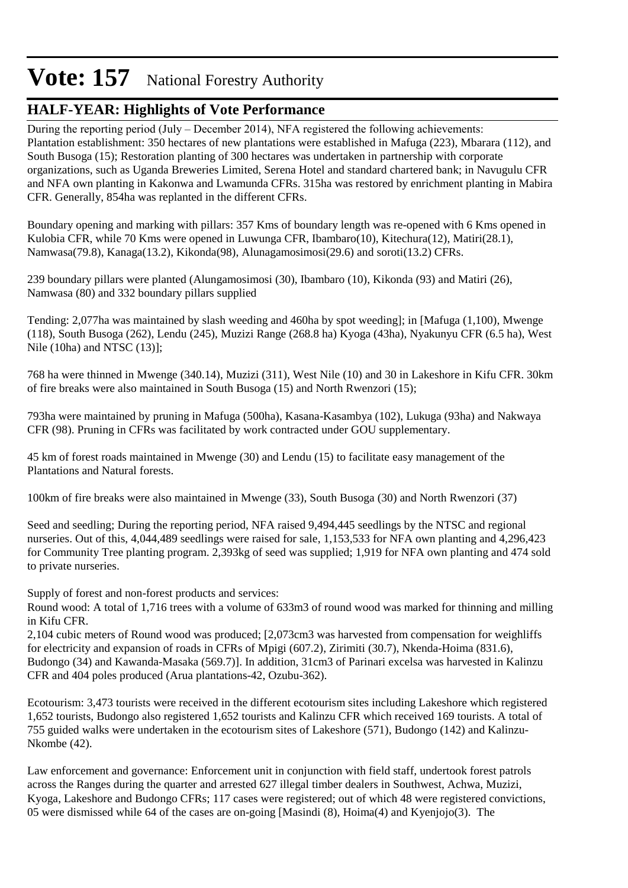## **HALF-YEAR: Highlights of Vote Performance**

During the reporting period (July – December 2014), NFA registered the following achievements: Plantation establishment: 350 hectares of new plantations were established in Mafuga (223), Mbarara (112), and South Busoga (15); Restoration planting of 300 hectares was undertaken in partnership with corporate organizations, such as Uganda Breweries Limited, Serena Hotel and standard chartered bank; in Navugulu CFR and NFA own planting in Kakonwa and Lwamunda CFRs. 315ha was restored by enrichment planting in Mabira CFR. Generally, 854ha was replanted in the different CFRs.

Boundary opening and marking with pillars: 357 Kms of boundary length was re-opened with 6 Kms opened in Kulobia CFR, while 70 Kms were opened in Luwunga CFR, Ibambaro(10), Kitechura(12), Matiri(28.1), Namwasa(79.8), Kanaga(13.2), Kikonda(98), Alunagamosimosi(29.6) and soroti(13.2) CFRs.

239 boundary pillars were planted (Alungamosimosi (30), Ibambaro (10), Kikonda (93) and Matiri (26), Namwasa (80) and 332 boundary pillars supplied

Tending: 2,077ha was maintained by slash weeding and 460ha by spot weeding]; in [Mafuga (1,100), Mwenge (118), South Busoga (262), Lendu (245), Muzizi Range (268.8 ha) Kyoga (43ha), Nyakunyu CFR (6.5 ha), West Nile (10ha) and NTSC (13)];

768 ha were thinned in Mwenge (340.14), Muzizi (311), West Nile (10) and 30 in Lakeshore in Kifu CFR. 30km of fire breaks were also maintained in South Busoga (15) and North Rwenzori (15);

793ha were maintained by pruning in Mafuga (500ha), Kasana-Kasambya (102), Lukuga (93ha) and Nakwaya CFR (98). Pruning in CFRs was facilitated by work contracted under GOU supplementary.

45 km of forest roads maintained in Mwenge (30) and Lendu (15) to facilitate easy management of the Plantations and Natural forests.

100km of fire breaks were also maintained in Mwenge (33), South Busoga (30) and North Rwenzori (37)

Seed and seedling; During the reporting period, NFA raised 9,494,445 seedlings by the NTSC and regional nurseries. Out of this, 4,044,489 seedlings were raised for sale, 1,153,533 for NFA own planting and 4,296,423 for Community Tree planting program. 2,393kg of seed was supplied; 1,919 for NFA own planting and 474 sold to private nurseries.

Supply of forest and non-forest products and services:

Round wood: A total of 1,716 trees with a volume of 633m3 of round wood was marked for thinning and milling in Kifu CFR.

2,104 cubic meters of Round wood was produced; [2,073cm3 was harvested from compensation for weighliffs for electricity and expansion of roads in CFRs of Mpigi (607.2), Zirimiti (30.7), Nkenda-Hoima (831.6), Budongo (34) and Kawanda-Masaka (569.7)]. In addition, 31cm3 of Parinari excelsa was harvested in Kalinzu CFR and 404 poles produced (Arua plantations-42, Ozubu-362).

Ecotourism: 3,473 tourists were received in the different ecotourism sites including Lakeshore which registered 1,652 tourists, Budongo also registered 1,652 tourists and Kalinzu CFR which received 169 tourists. A total of 755 guided walks were undertaken in the ecotourism sites of Lakeshore (571), Budongo (142) and Kalinzu-Nkombe (42).

Law enforcement and governance: Enforcement unit in conjunction with field staff, undertook forest patrols across the Ranges during the quarter and arrested 627 illegal timber dealers in Southwest, Achwa, Muzizi, Kyoga, Lakeshore and Budongo CFRs; 117 cases were registered; out of which 48 were registered convictions, 05 were dismissed while 64 of the cases are on-going [Masindi (8), Hoima(4) and Kyenjojo(3). The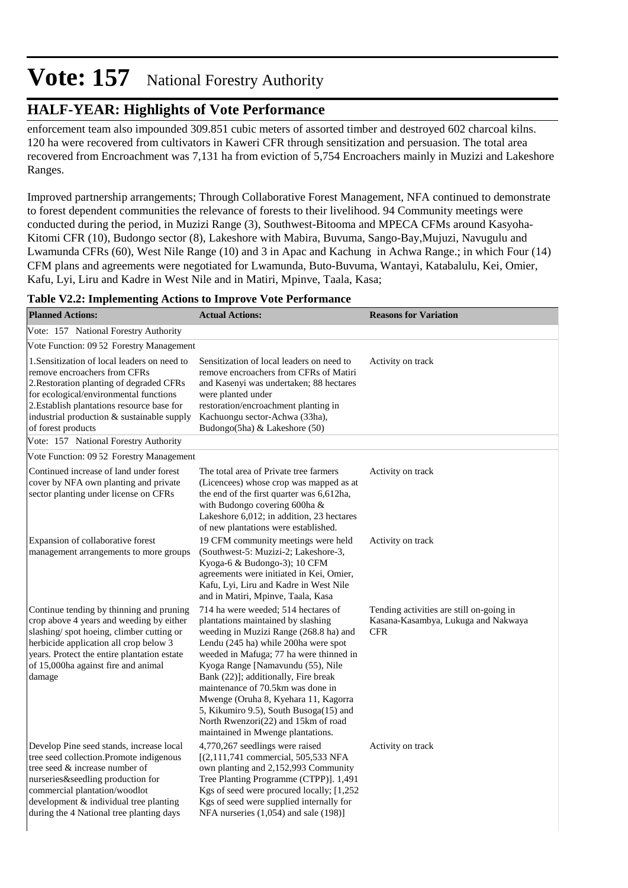## **HALF-YEAR: Highlights of Vote Performance**

enforcement team also impounded 309.851 cubic meters of assorted timber and destroyed 602 charcoal kilns. 120 ha were recovered from cultivators in Kaweri CFR through sensitization and persuasion. The total area recovered from Encroachment was 7,131 ha from eviction of 5,754 Encroachers mainly in Muzizi and Lakeshore Ranges.

Improved partnership arrangements; Through Collaborative Forest Management, NFA continued to demonstrate to forest dependent communities the relevance of forests to their livelihood. 94 Community meetings were conducted during the period, in Muzizi Range (3), Southwest-Bitooma and MPECA CFMs around Kasyoha-Kitomi CFR (10), Budongo sector (8), Lakeshore with Mabira, Buvuma, Sango-Bay,Mujuzi, Navugulu and Lwamunda CFRs (60), West Nile Range (10) and 3 in Apac and Kachung in Achwa Range.; in which Four (14) CFM plans and agreements were negotiated for Lwamunda, Buto-Buvuma, Wantayi, Katabalulu, Kei, Omier, Kafu, Lyi, Liru and Kadre in West Nile and in Matiri, Mpinve, Taala, Kasa;

| <b>Planned Actions:</b>                                                                                                                                                                                                                                                              | <b>Actual Actions:</b>                                                                                                                                                                                                                                                                                                                                                                                                                                                                 | <b>Reasons for Variation</b>                                                                  |
|--------------------------------------------------------------------------------------------------------------------------------------------------------------------------------------------------------------------------------------------------------------------------------------|----------------------------------------------------------------------------------------------------------------------------------------------------------------------------------------------------------------------------------------------------------------------------------------------------------------------------------------------------------------------------------------------------------------------------------------------------------------------------------------|-----------------------------------------------------------------------------------------------|
| Vote: 157 National Forestry Authority                                                                                                                                                                                                                                                |                                                                                                                                                                                                                                                                                                                                                                                                                                                                                        |                                                                                               |
| Vote Function: 09 52 Forestry Management                                                                                                                                                                                                                                             |                                                                                                                                                                                                                                                                                                                                                                                                                                                                                        |                                                                                               |
| 1. Sensitization of local leaders on need to<br>remove encroachers from CFRs<br>2. Restoration planting of degraded CFRs<br>for ecological/environmental functions<br>2. Establish plantations resource base for<br>industrial production & sustainable supply<br>of forest products | Sensitization of local leaders on need to<br>remove encroachers from CFRs of Matiri<br>and Kasenyi was undertaken; 88 hectares<br>were planted under<br>restoration/encroachment planting in<br>Kachuongu sector-Achwa (33ha),<br>Budongo(5ha) & Lakeshore (50)                                                                                                                                                                                                                        | Activity on track                                                                             |
| Vote: 157 National Forestry Authority                                                                                                                                                                                                                                                |                                                                                                                                                                                                                                                                                                                                                                                                                                                                                        |                                                                                               |
| Vote Function: 09 52 Forestry Management                                                                                                                                                                                                                                             |                                                                                                                                                                                                                                                                                                                                                                                                                                                                                        |                                                                                               |
| Continued increase of land under forest<br>cover by NFA own planting and private<br>sector planting under license on CFRs                                                                                                                                                            | The total area of Private tree farmers<br>(Licencees) whose crop was mapped as at<br>the end of the first quarter was 6,612ha,<br>with Budongo covering 600ha &<br>Lakeshore 6,012; in addition, 23 hectares<br>of new plantations were established.                                                                                                                                                                                                                                   | Activity on track                                                                             |
| Expansion of collaborative forest<br>management arrangements to more groups                                                                                                                                                                                                          | 19 CFM community meetings were held<br>(Southwest-5: Muzizi-2; Lakeshore-3,<br>Kyoga-6 & Budongo-3); 10 CFM<br>agreements were initiated in Kei, Omier,<br>Kafu, Lyi, Liru and Kadre in West Nile<br>and in Matiri, Mpinve, Taala, Kasa                                                                                                                                                                                                                                                | Activity on track                                                                             |
| Continue tending by thinning and pruning<br>crop above 4 years and weeding by either<br>slashing/spot hoeing, climber cutting or<br>herbicide application all crop below 3<br>years. Protect the entire plantation estate<br>of 15,000ha against fire and animal<br>damage           | 714 ha were weeded; 514 hectares of<br>plantations maintained by slashing<br>weeding in Muzizi Range (268.8 ha) and<br>Lendu (245 ha) while 200ha were spot<br>weeded in Mafuga; 77 ha were thinned in<br>Kyoga Range [Namavundu (55), Nile<br>Bank (22)]; additionally, Fire break<br>maintenance of 70.5km was done in<br>Mwenge (Oruha 8, Kyehara 11, Kagorra<br>5, Kikumiro 9.5), South Busoga(15) and<br>North Rwenzori(22) and 15km of road<br>maintained in Mwenge plantations. | Tending activities are still on-going in<br>Kasana-Kasambya, Lukuga and Nakwaya<br><b>CFR</b> |
| Develop Pine seed stands, increase local<br>tree seed collection.Promote indigenous<br>tree seed $\&$ increase number of<br>nurseries&seedling production for<br>commercial plantation/woodlot<br>development & individual tree planting<br>during the 4 National tree planting days | 4,770,267 seedlings were raised<br>$[(2,111,741)$ commercial, 505,533 NFA<br>own planting and 2,152,993 Community<br>Tree Planting Programme (CTPP)]. 1,491<br>Kgs of seed were procured locally; [1,252<br>Kgs of seed were supplied internally for<br>NFA nurseries $(1,054)$ and sale $(198)$ ]                                                                                                                                                                                     | Activity on track                                                                             |

#### **Table V2.2: Implementing Actions to Improve Vote Performance**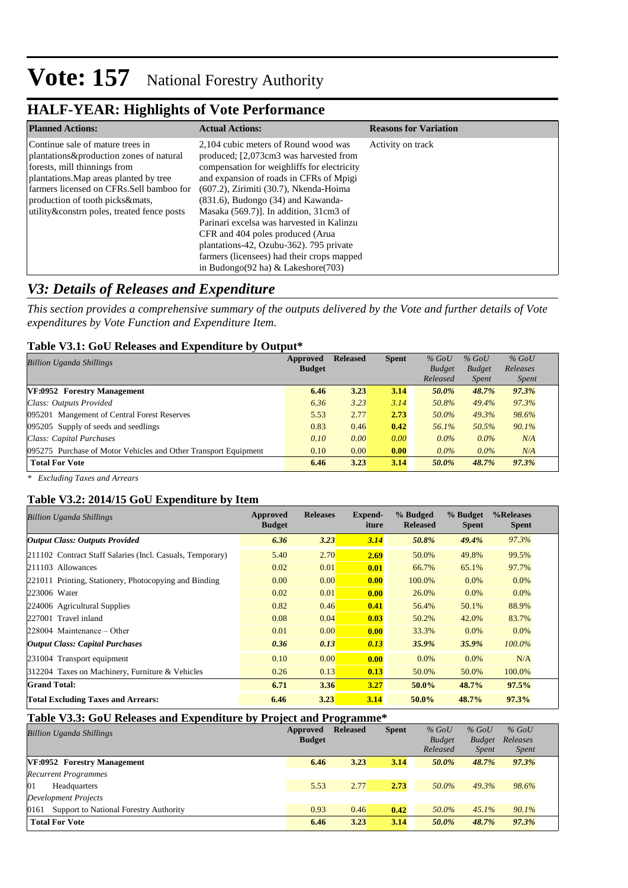### **HALF-YEAR: Highlights of Vote Performance**

| <b>Planned Actions:</b>                    | <b>Actual Actions:</b>                      | <b>Reasons for Variation</b> |
|--------------------------------------------|---------------------------------------------|------------------------------|
| Continue sale of mature trees in           | 2.104 cubic meters of Round wood was        | Activity on track            |
| plantations&production zones of natural    | produced; [2,073cm3 was harvested from      |                              |
| forests, mill thinnings from               | compensation for weighliffs for electricity |                              |
| plantations. Map areas planted by tree     | and expansion of roads in CFRs of Mpigi     |                              |
| farmers licensed on CFRs. Sell bamboo for  | (607.2), Zirimiti (30.7), Nkenda-Hoima      |                              |
| production of tooth picks&mats,            | $(831.6)$ , Budongo $(34)$ and Kawanda-     |                              |
| utility&constrn poles, treated fence posts | Masaka $(569.7)$ ]. In addition, 31cm3 of   |                              |
|                                            | Parinari excelsa was harvested in Kalinzu   |                              |
|                                            | CFR and 404 poles produced (Arua)           |                              |
|                                            | plantations-42, Ozubu-362). 795 private     |                              |
|                                            | farmers (licensees) had their crops mapped  |                              |
|                                            | in Budongo(92 ha) $&$ Lakeshore(703)        |                              |

### *V3: Details of Releases and Expenditure*

*This section provides a comprehensive summary of the outputs delivered by the Vote and further details of Vote expenditures by Vote Function and Expenditure Item.*

#### **Table V3.1: GoU Releases and Expenditure by Output\***

| Billion Uganda Shillings                                        | Approved      | <b>Released</b> | <b>Spent</b> | $%$ GoU       | $%$ GoU       | $%$ GoU      |  |
|-----------------------------------------------------------------|---------------|-----------------|--------------|---------------|---------------|--------------|--|
|                                                                 | <b>Budget</b> |                 |              | <b>Budget</b> | <b>Budget</b> | Releases     |  |
|                                                                 |               |                 |              | Released      | <i>Spent</i>  | <i>Spent</i> |  |
| VF:0952 Forestry Management                                     | 6.46          | 3.23            | 3.14         | 50.0%         | 48.7%         | 97.3%        |  |
| Class: Outputs Provided                                         | 6.36          | 3.23            | 3.14         | 50.8%         | 49.4%         | 97.3%        |  |
| 095201 Mangement of Central Forest Reserves                     | 5.53          | 2.77            | 2.73         | 50.0%         | 49.3%         | 98.6%        |  |
| 095205 Supply of seeds and seedlings                            | 0.83          | 0.46            | 0.42         | 56.1%         | 50.5%         | 90.1%        |  |
| Class: Capital Purchases                                        | 0.10          | 0.00            | 0.00         | $0.0\%$       | $0.0\%$       | N/A          |  |
| 095275 Purchase of Motor Vehicles and Other Transport Equipment | 0.10          | 0.00            | 0.00         | $0.0\%$       | $0.0\%$       | N/A          |  |
| <b>Total For Vote</b>                                           | 6.46          | 3.23            | 3.14         | 50.0%         | 48.7%         | 97.3%        |  |

*\* Excluding Taxes and Arrears*

### **Table V3.2: 2014/15 GoU Expenditure by Item**

| <b>Billion Uganda Shillings</b>                           | Approved<br><b>Budget</b> | <b>Releases</b> | Expend-<br>iture | % Budged<br><b>Released</b> | % Budget<br><b>Spent</b> | %Releases<br><b>Spent</b> |
|-----------------------------------------------------------|---------------------------|-----------------|------------------|-----------------------------|--------------------------|---------------------------|
| <b>Output Class: Outputs Provided</b>                     | 6.36                      | 3.23            | 3.14             | 50.8%                       | 49.4%                    | 97.3%                     |
| 211102 Contract Staff Salaries (Incl. Casuals, Temporary) | 5.40                      | 2.70            | 2.69             | 50.0%                       | 49.8%                    | 99.5%                     |
| 211103 Allowances                                         | 0.02                      | 0.01            | 0.01             | 66.7%                       | 65.1%                    | 97.7%                     |
| 221011 Printing, Stationery, Photocopying and Binding     | 0.00                      | 0.00            | 0.00             | 100.0%                      | $0.0\%$                  | 0.0%                      |
| 223006 Water                                              | 0.02                      | 0.01            | 0.00             | 26.0%                       | $0.0\%$                  | $0.0\%$                   |
| 224006 Agricultural Supplies                              | 0.82                      | 0.46            | 0.41             | 56.4%                       | 50.1%                    | 88.9%                     |
| 227001 Travel inland                                      | 0.08                      | 0.04            | 0.03             | 50.2%                       | 42.0%                    | 83.7%                     |
| $ 228004 \text{ Maintenance} - Other$                     | 0.01                      | 0.00            | 0.00             | 33.3%                       | 0.0%                     | $0.0\%$                   |
| <b>Output Class: Capital Purchases</b>                    | 0.36                      | 0.13            | 0.13             | 35.9%                       | 35.9%                    | $100.0\%$                 |
| 231004 Transport equipment                                | 0.10                      | 0.00            | 0.00             | $0.0\%$                     | $0.0\%$                  | N/A                       |
| 312204 Taxes on Machinery, Furniture & Vehicles           | 0.26                      | 0.13            | 0.13             | 50.0%                       | 50.0%                    | 100.0%                    |
| <b>Grand Total:</b>                                       | 6.71                      | 3.36            | 3.27             | $50.0\%$                    | 48.7%                    | 97.5%                     |
| <b>Total Excluding Taxes and Arrears:</b>                 | 6.46                      | 3.23            | 3.14             | $50.0\%$                    | 48.7%                    | 97.3%                     |

#### **Table V3.3: GoU Releases and Expenditure by Project and Programme\***

| <b>Billion Uganda Shillings</b>                | Approved<br><b>Budget</b> | <b>Released</b> | <b>Spent</b> | $%$ GoU<br><b>Budget</b> | $%$ GoU<br><b>Budget</b> | $%$ GoU<br>Releases |
|------------------------------------------------|---------------------------|-----------------|--------------|--------------------------|--------------------------|---------------------|
|                                                |                           |                 |              | Released                 | <i>Spent</i>             | <i>Spent</i>        |
| VF:0952 Forestry Management                    | 6.46                      | 3.23            | 3.14         | 50.0%                    | 48.7%                    | 97.3%               |
| <b>Recurrent Programmes</b>                    |                           |                 |              |                          |                          |                     |
| 01<br>Headquarters                             | 5.53                      | 2.77            | 2.73         | 50.0%                    | 49.3%                    | 98.6%               |
| Development Projects                           |                           |                 |              |                          |                          |                     |
| Support to National Forestry Authority<br>0161 | 0.93                      | 0.46            | 0.42         | 50.0%                    | 45.1%                    | 90.1%               |
| <b>Total For Vote</b>                          | 6.46                      | 3.23            | 3.14         | 50.0%                    | 48.7%                    | 97.3%               |